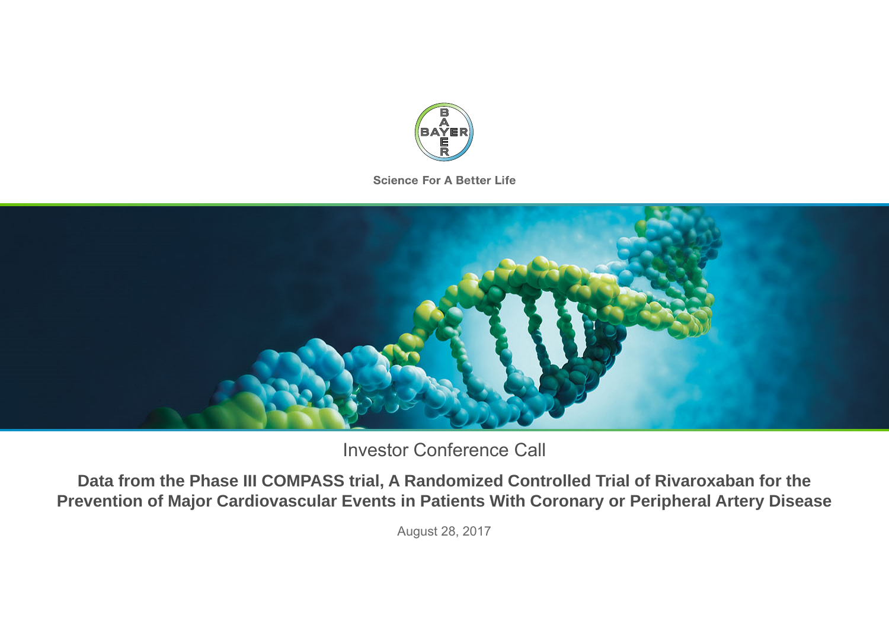

**Science For A Better Life** 



Investor Conference Call

**Data from the Phase III COMPASS trial, A Randomized Controlled Trial of Rivaroxaban for the Prevention of Major Cardiovascular Events in Patients With Coronary or Peripheral Artery Disease**

August 28, 2017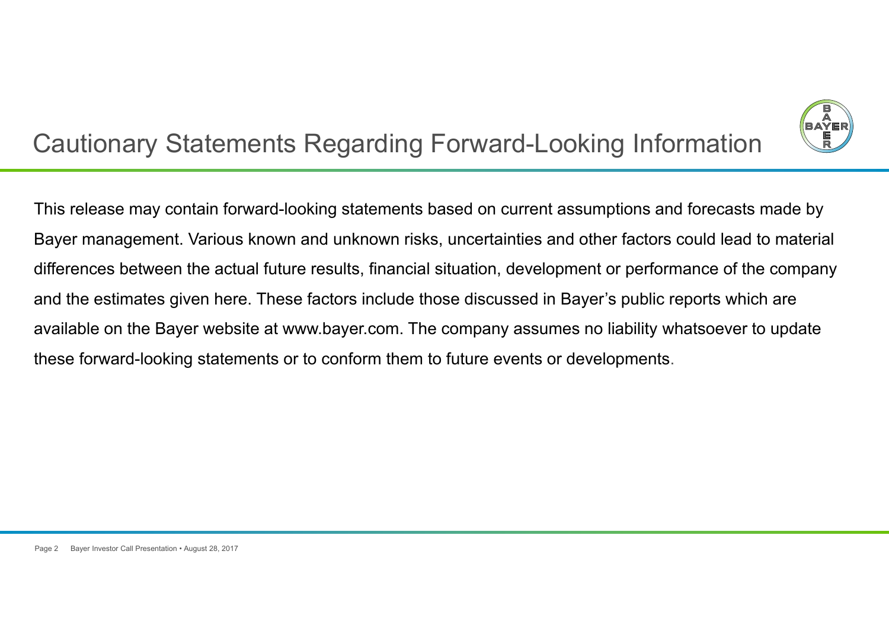

# Cautionary Statements Regarding Forward-Looking Information

This release may contain forward-looking statements based on current assumptions and forecasts made by Bayer management. Various known and unknown risks, uncertainties and other factors could lead to material differences between the actual future results, financial situation, development or performance of the company and the estimates given here. These factors include those discussed in Bayer's public reports which are available on the Bayer website at www.bayer.com. The company assumes no liability whatsoever to update these forward-looking statements or to conform them to future events or developments.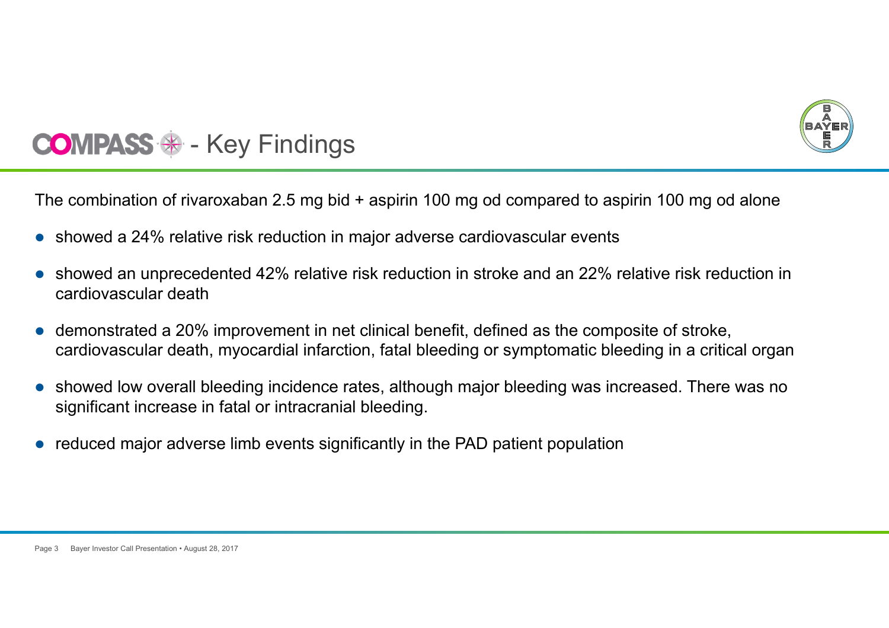

#### $\mathcal{L}_{\mathcal{A}}$ Key Findings

The combination of rivaroxaban 2.5 mg bid + aspirin 100 mg od compared to aspirin 100 mg od alone

- showed a 24% relative risk reduction in major adverse cardiovascular events
- $\bullet$  showed an unprecedented 42% relative risk reduction in stroke and an 22% relative risk reduction in cardiovascular death
- $\bullet$  demonstrated a 20% improvement in net clinical benefit, defined as the composite of stroke, cardiovascular death, myocardial infarction, fatal bleeding or symptomatic bleeding in a critical organ
- $\bullet$  showed low overall bleeding incidence rates, although major bleeding was increased. There was no significant increase in fatal or intracranial bleeding.
- $\bullet$ reduced major adverse limb events significantly in the PAD patient population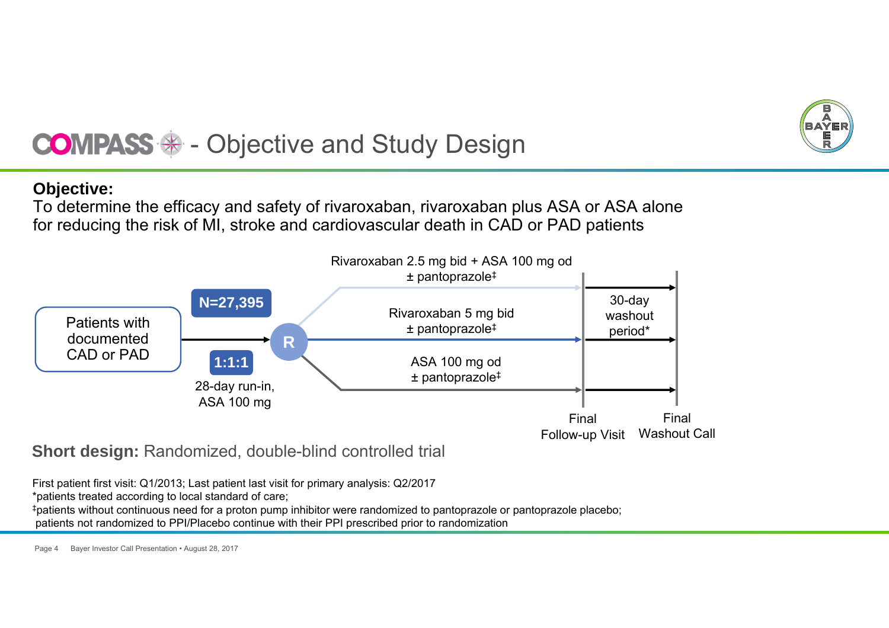

## $\mathcal{L}_{\mathcal{A}}$ Objective and Study Design

## **Objective:**

To determine the efficacy and safety of rivaroxaban, rivaroxaban plus ASA or ASA alone for reducing the risk of MI, stroke and cardiovascular death in CAD or PAD patients



**Short design: Randomized, double-blind controlled trial** 

First patient first visit: Q1/2013; Last patient last visit for primary analysis: Q2/2017

\*patients treated according to local standard of care;

‡patients without continuous need for a proton pump inhibitor were randomized to pantoprazole or pantoprazole placebo; patients not randomized to PPI/Placebo continue with their PPI prescribed prior to randomization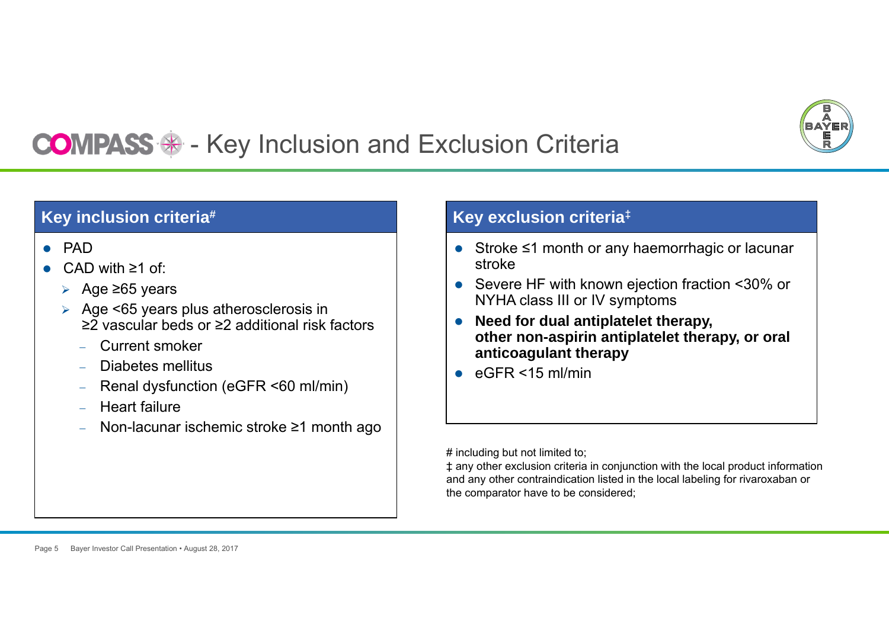

## $\mathcal{L}_{\mathcal{A}}$ Key Inclusion and Exclusion Criteria

# **Key inclusion criteria#**

- PAD
- 0 CAD with ≥1 of:
	- Age ≥65 years
	- Age <65 years plus atherosclerosis in ≥2 vascular beds or ≥2 additional risk factors
		- Current smoker
		- Diabetes mellitus
		- Renal dysfunction (eGFR <60 ml/min)
		- Heart failure
		- Non-lacunar ischemic stroke ≥1 month ago

## **Key exclusion criteria‡**

- Stroke ≤1 month or any haemorrhagic or lacunar stroke
- $\bullet$  Severe HF with known ejection fraction <30% or NYHA class III or IV symptoms
- $\bullet$  **Need for dual antiplatelet therapy, other non-aspirin antiplatelet therapy, or oral anticoagulant therapy**
- $\bullet$ eGFR <15 ml/min

# including but not limited to;

‡ any other exclusion criteria in conjunction with the local product information and any other contraindication listed in the local labeling for rivaroxaban or the comparator have to be considered;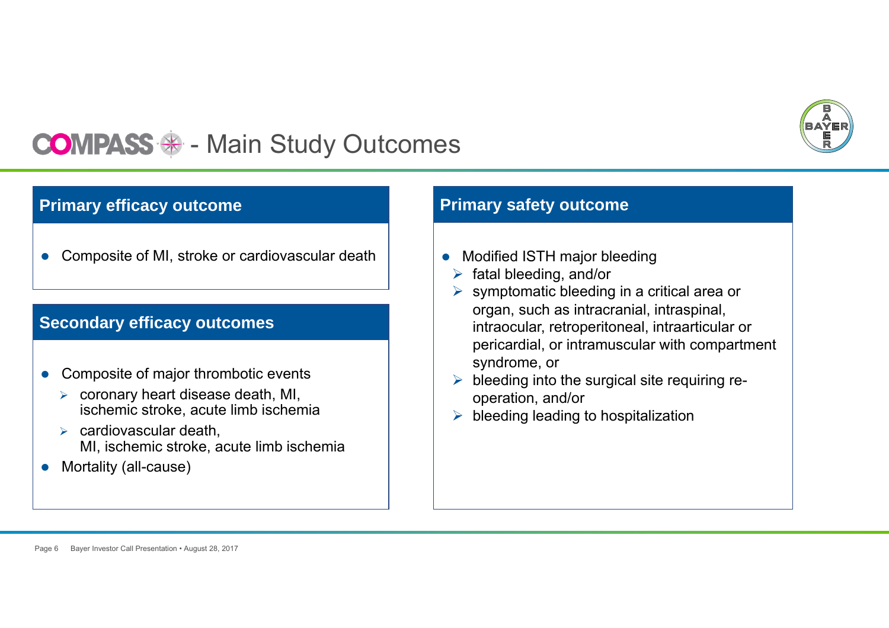

#### $\mathcal{L}_{\mathcal{A}}$ Main Study Outcomes

## **Primary efficacy outcome**

 $\bullet$ Composite of MI, stroke or cardiovascular death

## **Secondary efficacy outcomes**

- $\bullet$  Composite of major thrombotic events
	- $\triangleright$  coronary heart disease death, MI, ischemic stroke, acute limb ischemia
	- $\triangleright$  cardiovascular death, MI, ischemic stroke, acute limb ischemia
- $\bullet$ Mortality (all-cause)

## **Primary safety outcome**

- $\bullet$  Modified ISTH major bleeding
	- $\triangleright$  fatal bleeding, and/or
	- $\triangleright$  symptomatic bleeding in a critical area or organ, such as intracranial, intraspinal, intraocular, retroperitoneal, intraarticular or pericardial, or intramuscular with compartment syndrome, or
	- $\blacktriangleright$  bleeding into the surgical site requiring reoperation, and/or
	- $\triangleright$  bleeding leading to hospitalization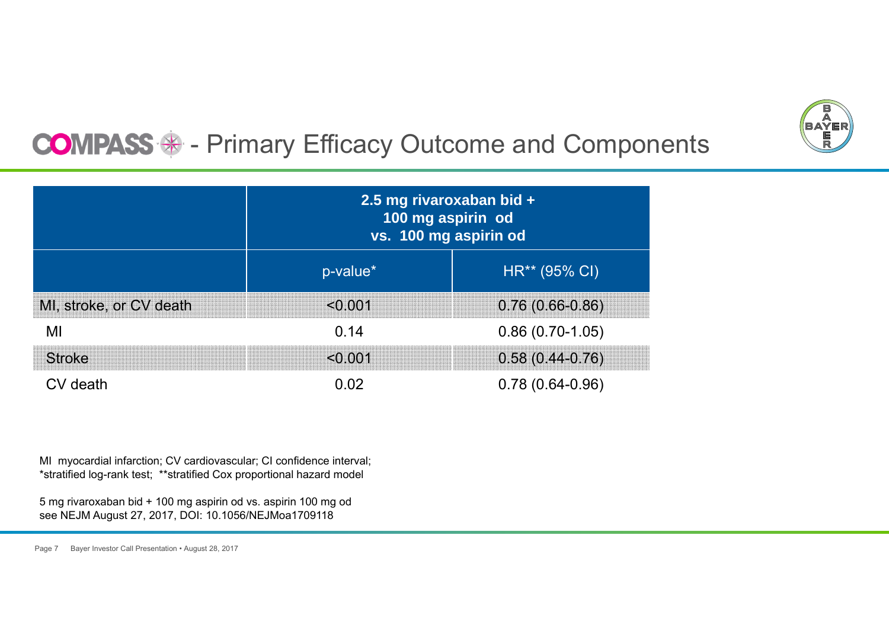

## $\mathcal{L}_{\mathcal{A}}$ Primary Efficacy Outcome and Components

|                         | 2.5 mg rivaroxaban bid +<br>100 mg aspirin od<br>vs. 100 mg aspirin od |                   |  |
|-------------------------|------------------------------------------------------------------------|-------------------|--|
|                         | p-value*                                                               | HR** (95% CI)     |  |
| MI, stroke, or CV death | < 0.001                                                                | $0.76(0.66-0.86)$ |  |
| MI                      | 0.14                                                                   | $0.86(0.70-1.05)$ |  |
| <b>Stroke</b>           | < 0.001                                                                | $0.58(0.44-0.76)$ |  |
| CV death                | በ በ2                                                                   | $0.78(0.64-0.96)$ |  |

MI myocardial infarction; CV cardiovascular; CI confidence interval; \*stratified log-rank test; \*\*stratified Cox proportional hazard model

5 mg rivaroxaban bid + 100 mg aspirin od vs. aspirin 100 mg od see NEJM August 27, 2017, DOI: 10.1056/NEJMoa1709118

Page 7 Bayer Investor Call Presentation • August 28, 2017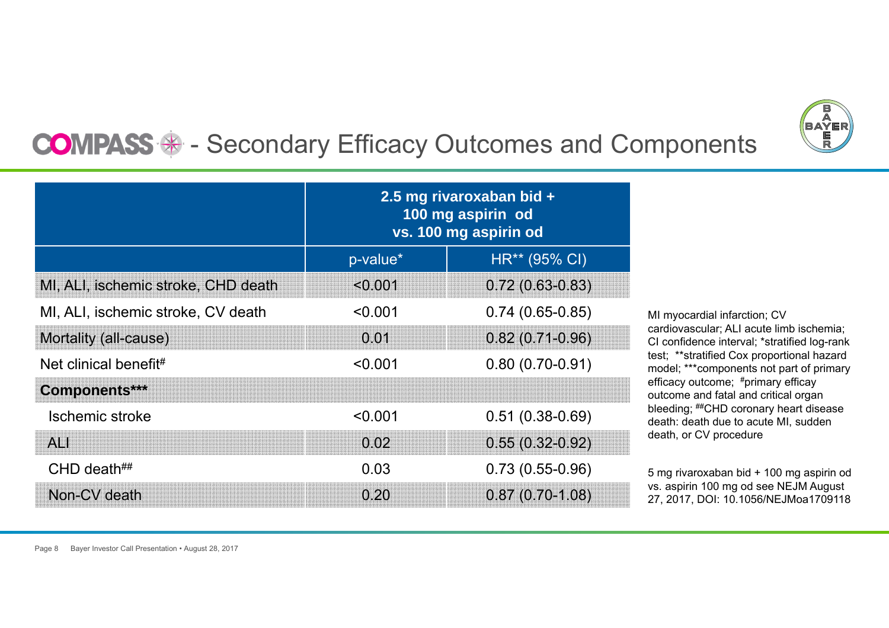

#### $\mathcal{L}_{\mathcal{A}}$ Secondary Efficacy Outcomes and Components

|                                     | 2.5 mg rivaroxaban bid +<br>100 mg aspirin od<br>vs. 100 mg aspirin od |                   |
|-------------------------------------|------------------------------------------------------------------------|-------------------|
|                                     | p-value*                                                               | HR** (95% CI)     |
| MI, ALI, ischemic stroke, CHD death | < 0.001                                                                | $0.72(0.63-0.83)$ |
| MI, ALI, ischemic stroke, CV death  | < 0.001                                                                | $0.74(0.65-0.85)$ |
| Mortality (all-cause)               | 0.01                                                                   | $0.82(0.71-0.96)$ |
| Net clinical benefit#               | < 0.001                                                                | $0.80(0.70-0.91)$ |
| Components***                       |                                                                        |                   |
| Ischemic stroke                     | < 0.001                                                                | $0.51(0.38-0.69)$ |
| A <sub>1</sub>                      | 0.02                                                                   | $0.55(0.32-0.92)$ |
| CHD death $\#$                      | 0.03                                                                   | $0.73(0.55-0.96)$ |
| Non-CV death                        | 0.20                                                                   | $0.87(0.70-1.08)$ |

MI myocardial infarction; CV cardiovascular; ALI acute limb ischemia; CI confidence interval; \*stratified log-rank test; \*\*stratified Cox proportional hazard model; \*\*\*components not part of primary efficacy outcome; #primary efficay outcome and fatal and critical organ bleeding; ##CHD coronary heart disease death: death due to acute MI, sudden death, or CV procedure

5 mg rivaroxaban bid + 100 mg aspirin od vs. aspirin 100 mg od see NEJM August 27, 2017, DOI: 10.1056/NEJMoa1709118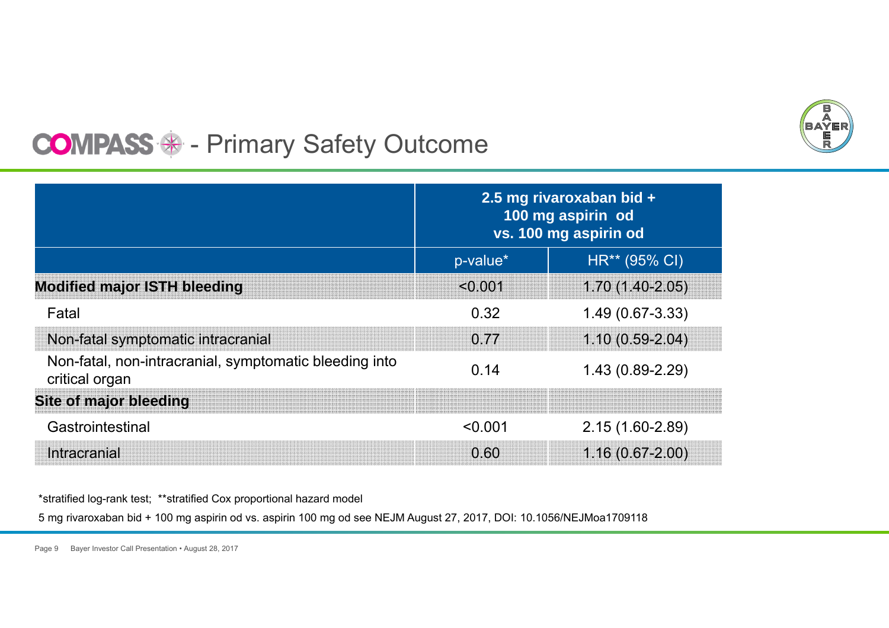

#### $\mathcal{L}_{\mathcal{A}}$ Primary Safety Outcome

|                                                                          | 2.5 mg rivaroxaban bid +<br>100 mg aspirin od<br>vs. 100 mg aspirin od |                     |
|--------------------------------------------------------------------------|------------------------------------------------------------------------|---------------------|
|                                                                          | p-value*                                                               | HR** (95% CI)       |
| <b>Modified major ISTH bleeding</b>                                      | < 0.001                                                                | $1.70(1.40-2.05)$   |
| Fatal                                                                    | 0.32                                                                   | $1.49(0.67-3.33)$   |
| Non-fatal symptomatic intracranial                                       | 0.77                                                                   | $1.10(0.59-2.04)$   |
| Non-fatal, non-intracranial, symptomatic bleeding into<br>critical organ | 0.14                                                                   | $1.43(0.89 - 2.29)$ |
| <b>Site of major bleeding</b>                                            |                                                                        |                     |
| Gastrointestinal                                                         | < 0.001                                                                | 2.15 (1.60-2.89)    |
| Intracranial                                                             | 0.60                                                                   | $1.16(0.67 - 2.00)$ |

\*stratified log-rank test; \*\*stratified Cox proportional hazard model

5 mg rivaroxaban bid + 100 mg aspirin od vs. aspirin 100 mg od see NEJM August 27, 2017, DOI: 10.1056/NEJMoa1709118

Page 9 Bayer Investor Call Presentation • August 28, 2017